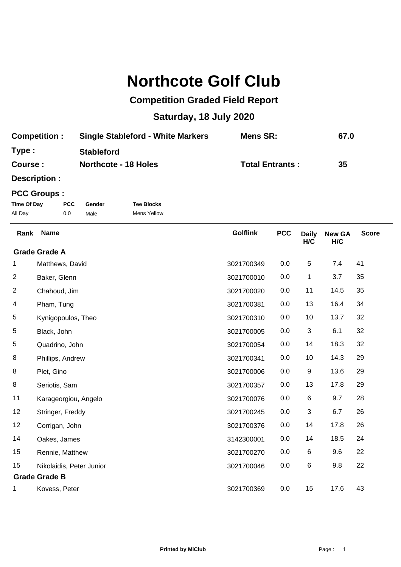## **Northcote Golf Club**

## **Competition Graded Field Report**

## **Saturday, 18 July 2020**

| <b>Competition:</b> | <b>Single Stableford - White Markers</b> | Mens SR:               | 67.0 |
|---------------------|------------------------------------------|------------------------|------|
| Type:               | <b>Stableford</b>                        |                        |      |
| <b>Course:</b>      | <b>Northcote - 18 Holes</b>              | <b>Total Entrants:</b> | 35   |

**Description :**

## **PCC Groups :**

| Time Of Day | <b>PCC</b> | Gender | <b>Tee Blocks</b> |
|-------------|------------|--------|-------------------|
| All Day     | 0.0        | Male   | Mens Yellow       |

| Rank                    | <b>Name</b>              | <b>Golflink</b> | <b>PCC</b> | <b>Daily</b><br>H/C | <b>New GA</b><br>H/C | <b>Score</b> |
|-------------------------|--------------------------|-----------------|------------|---------------------|----------------------|--------------|
|                         | <b>Grade Grade A</b>     |                 |            |                     |                      |              |
| 1                       | Matthews, David          | 3021700349      | 0.0        | 5                   | 7.4                  | 41           |
| $\overline{c}$          | Baker, Glenn             | 3021700010      | 0.0        | 1                   | 3.7                  | 35           |
| $\overline{\mathbf{c}}$ | Chahoud, Jim             | 3021700020      | 0.0        | 11                  | 14.5                 | 35           |
| 4                       | Pham, Tung               | 3021700381      | 0.0        | 13                  | 16.4                 | 34           |
| 5                       | Kynigopoulos, Theo       | 3021700310      | 0.0        | 10                  | 13.7                 | 32           |
| 5                       | Black, John              | 3021700005      | 0.0        | 3                   | 6.1                  | 32           |
| 5                       | Quadrino, John           | 3021700054      | 0.0        | 14                  | 18.3                 | 32           |
| 8                       | Phillips, Andrew         | 3021700341      | 0.0        | 10                  | 14.3                 | 29           |
| 8                       | Plet, Gino               | 3021700006      | 0.0        | 9                   | 13.6                 | 29           |
| 8                       | Seriotis, Sam            | 3021700357      | 0.0        | 13                  | 17.8                 | 29           |
| 11                      | Karageorgiou, Angelo     | 3021700076      | 0.0        | 6                   | 9.7                  | 28           |
| 12                      | Stringer, Freddy         | 3021700245      | 0.0        | 3                   | 6.7                  | 26           |
| 12                      | Corrigan, John           | 3021700376      | 0.0        | 14                  | 17.8                 | 26           |
| 14                      | Oakes, James             | 3142300001      | 0.0        | 14                  | 18.5                 | 24           |
| 15                      | Rennie, Matthew          | 3021700270      | 0.0        | 6                   | 9.6                  | 22           |
| 15                      | Nikolaidis, Peter Junior | 3021700046      | 0.0        | 6                   | 9.8                  | 22           |
| <b>Grade Grade B</b>    |                          |                 |            |                     |                      |              |
| 1                       | Kovess, Peter            | 3021700369      | 0.0        | 15                  | 17.6                 | 43           |